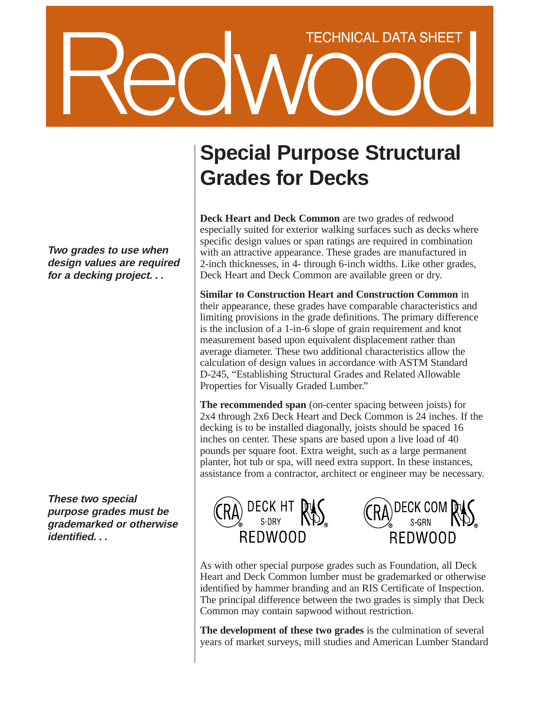## **TECHNICAL DATA SHEET**

**Two grades to use when design values are required for a decking project. . .**

**These two special purpose grades must be grademarked or otherwise identified. . .**

## **Special Purpose Structural Grades for Decks**

**Deck Heart and Deck Common** are two grades of redwood especially suited for exterior walking surfaces such as decks where specific design values or span ratings are required in combination with an attractive appearance. These grades are manufactured in 2-inch thicknesses, in 4- through 6-inch widths. Like other grades, Deck Heart and Deck Common are available green or dry.

**Similar to Construction Heart and Construction Common** in their appearance, these grades have comparable characteristics and limiting provisions in the grade definitions. The primary difference is the inclusion of a 1-in-6 slope of grain requirement and knot measurement based upon equivalent displacement rather than average diameter. These two additional characteristics allow the calculation of design values in accordance with ASTM Standard D-245, "Establishing Structural Grades and Related Allowable Properties for Visually Graded Lumber."

**The recommended span** (on-center spacing between joists) for 2x4 through 2x6 Deck Heart and Deck Common is 24 inches. If the decking is to be installed diagonally, joists should be spaced 16 inches on center. These spans are based upon a live load of 40 pounds per square foot. Extra weight, such as a large permanent planter, hot tub or spa, will need extra support. In these instances, assistance from a contractor, architect or engineer may be necessary.





As with other special purpose grades such as Foundation, all Deck Heart and Deck Common lumber must be grademarked or otherwise identified by hammer branding and an RIS Certificate of Inspection. The principal difference between the two grades is simply that Deck Common may contain sapwood without restriction.

**The development of these two grades** is the culmination of several years of market surveys, mill studies and American Lumber Standard